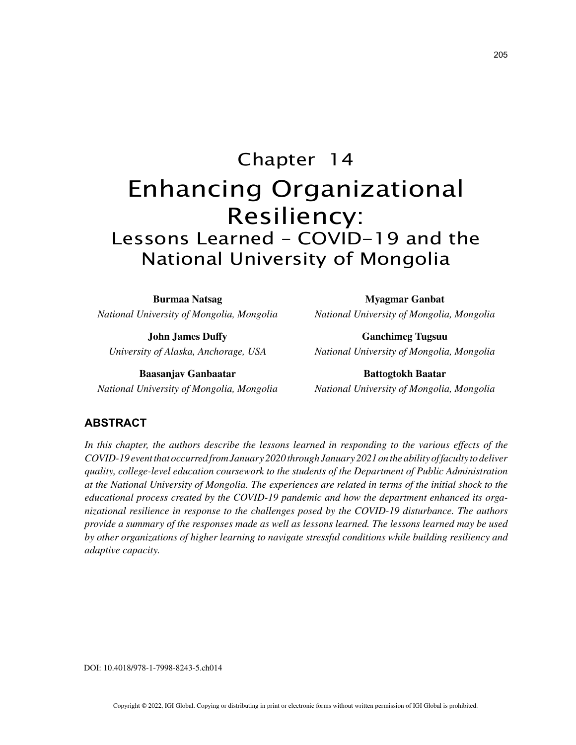# Chapter 14 Enhancing Organizational Resiliency: Lessons Learned – COVID-19 and the National University of Mongolia

**Burmaa Natsag** *National University of Mongolia, Mongolia*

**John James Duffy** *University of Alaska, Anchorage, USA*

**Baasanjav Ganbaatar** *National University of Mongolia, Mongolia*

**Myagmar Ganbat** *National University of Mongolia, Mongolia*

**Ganchimeg Tugsuu** *National University of Mongolia, Mongolia*

**Battogtokh Baatar** *National University of Mongolia, Mongolia*

# **ABSTRACT**

In this chapter, the authors describe the lessons learned in responding to the various effects of the *COVID-19 event that occurred from January 2020 through January 2021 on the ability of faculty to deliver quality, college-level education coursework to the students of the Department of Public Administration at the National University of Mongolia. The experiences are related in terms of the initial shock to the educational process created by the COVID-19 pandemic and how the department enhanced its organizational resilience in response to the challenges posed by the COVID-19 disturbance. The authors provide a summary of the responses made as well as lessons learned. The lessons learned may be used by other organizations of higher learning to navigate stressful conditions while building resiliency and adaptive capacity.*

DOI: 10.4018/978-1-7998-8243-5.ch014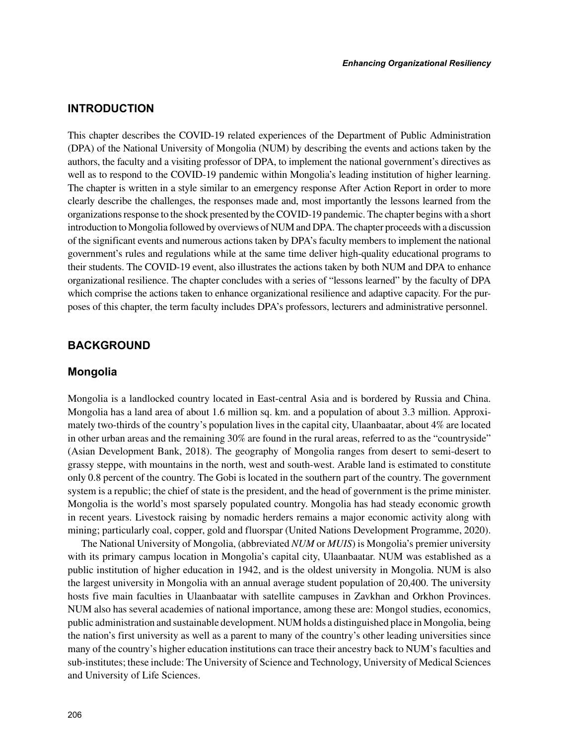## **INTRODUCTION**

This chapter describes the COVID-19 related experiences of the Department of Public Administration (DPA) of the National University of Mongolia (NUM) by describing the events and actions taken by the authors, the faculty and a visiting professor of DPA, to implement the national government's directives as well as to respond to the COVID-19 pandemic within Mongolia's leading institution of higher learning. The chapter is written in a style similar to an emergency response After Action Report in order to more clearly describe the challenges, the responses made and, most importantly the lessons learned from the organizations response to the shock presented by the COVID-19 pandemic. The chapter begins with a short introduction to Mongolia followed by overviews of NUM and DPA. The chapter proceeds with a discussion of the significant events and numerous actions taken by DPA's faculty members to implement the national government's rules and regulations while at the same time deliver high-quality educational programs to their students. The COVID-19 event, also illustrates the actions taken by both NUM and DPA to enhance organizational resilience. The chapter concludes with a series of "lessons learned" by the faculty of DPA which comprise the actions taken to enhance organizational resilience and adaptive capacity. For the purposes of this chapter, the term faculty includes DPA's professors, lecturers and administrative personnel.

### **BACKGROUND**

## **Mongolia**

Mongolia is a landlocked country located in East-central Asia and is bordered by Russia and China. Mongolia has a land area of about 1.6 million sq. km. and a population of about 3.3 million. Approximately two-thirds of the country's population lives in the capital city, Ulaanbaatar, about 4% are located in other urban areas and the remaining 30% are found in the rural areas, referred to as the "countryside" (Asian Development Bank, 2018). The geography of Mongolia ranges from desert to semi-desert to grassy steppe, with mountains in the north, west and south-west. Arable land is estimated to constitute only 0.8 percent of the country. The Gobi is located in the southern part of the country. The government system is a republic; the chief of state is the president, and the head of government is the prime minister. Mongolia is the world's most sparsely populated country. Mongolia has had steady economic growth in recent years. Livestock raising by nomadic herders remains a major economic activity along with mining; particularly coal, copper, gold and fluorspar (United Nations Development Programme, 2020).

The National University of Mongolia, (abbreviated *NUM* or *MUIS*) is Mongolia's premier university with its primary campus location in Mongolia's capital city, Ulaanbaatar. NUM was established as a public institution of higher education in 1942, and is the oldest university in Mongolia. NUM is also the largest university in Mongolia with an annual average student population of 20,400. The university hosts five main faculties in Ulaanbaatar with satellite campuses in Zavkhan and Orkhon Provinces. NUM also has several academies of national importance, among these are: Mongol studies, economics, public administration and sustainable development. NUM holds a distinguished place in Mongolia, being the nation's first university as well as a parent to many of the country's other leading universities since many of the country's higher education institutions can trace their ancestry back to NUM's faculties and sub-institutes; these include: The University of Science and Technology, University of Medical Sciences and University of Life Sciences.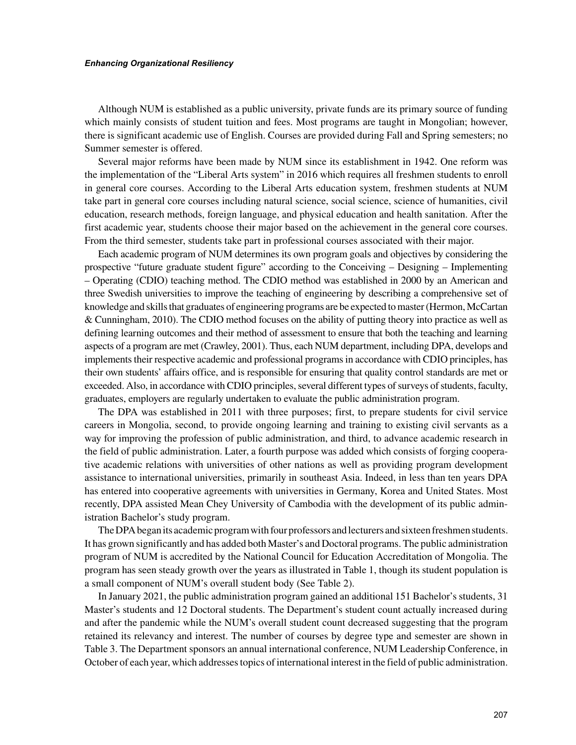Although NUM is established as a public university, private funds are its primary source of funding which mainly consists of student tuition and fees. Most programs are taught in Mongolian; however, there is significant academic use of English. Courses are provided during Fall and Spring semesters; no Summer semester is offered.

Several major reforms have been made by NUM since its establishment in 1942. One reform was the implementation of the "Liberal Arts system" in 2016 which requires all freshmen students to enroll in general core courses. According to the Liberal Arts education system, freshmen students at NUM take part in general core courses including natural science, social science, science of humanities, civil education, research methods, foreign language, and physical education and health sanitation. After the first academic year, students choose their major based on the achievement in the general core courses. From the third semester, students take part in professional courses associated with their major.

Each academic program of NUM determines its own program goals and objectives by considering the prospective "future graduate student figure" according to the Conceiving – Designing – Implementing – Operating (CDIO) teaching method. The CDIO method was established in 2000 by an American and three Swedish universities to improve the teaching of engineering by describing a comprehensive set of knowledge and skills that graduates of engineering programs are be expected to master (Hermon, McCartan & Cunningham, 2010). The CDIO method focuses on the ability of putting theory into practice as well as defining learning outcomes and their method of assessment to ensure that both the teaching and learning aspects of a program are met (Crawley, 2001). Thus, each NUM department, including DPA, develops and implements their respective academic and professional programs in accordance with CDIO principles, has their own students' affairs office, and is responsible for ensuring that quality control standards are met or exceeded. Also, in accordance with CDIO principles, several different types of surveys of students, faculty, graduates, employers are regularly undertaken to evaluate the public administration program.

The DPA was established in 2011 with three purposes; first, to prepare students for civil service careers in Mongolia, second, to provide ongoing learning and training to existing civil servants as a way for improving the profession of public administration, and third, to advance academic research in the field of public administration. Later, a fourth purpose was added which consists of forging cooperative academic relations with universities of other nations as well as providing program development assistance to international universities, primarily in southeast Asia. Indeed, in less than ten years DPA has entered into cooperative agreements with universities in Germany, Korea and United States. Most recently, DPA assisted Mean Chey University of Cambodia with the development of its public administration Bachelor's study program.

The DPA began its academic program with four professors and lecturers and sixteen freshmen students. It has grown significantly and has added both Master's and Doctoral programs. The public administration program of NUM is accredited by the National Council for Education Accreditation of Mongolia. The program has seen steady growth over the years as illustrated in Table 1, though its student population is a small component of NUM's overall student body (See Table 2).

In January 2021, the public administration program gained an additional 151 Bachelor's students, 31 Master's students and 12 Doctoral students. The Department's student count actually increased during and after the pandemic while the NUM's overall student count decreased suggesting that the program retained its relevancy and interest. The number of courses by degree type and semester are shown in Table 3. The Department sponsors an annual international conference, NUM Leadership Conference, in October of each year, which addresses topics of international interest in the field of public administration.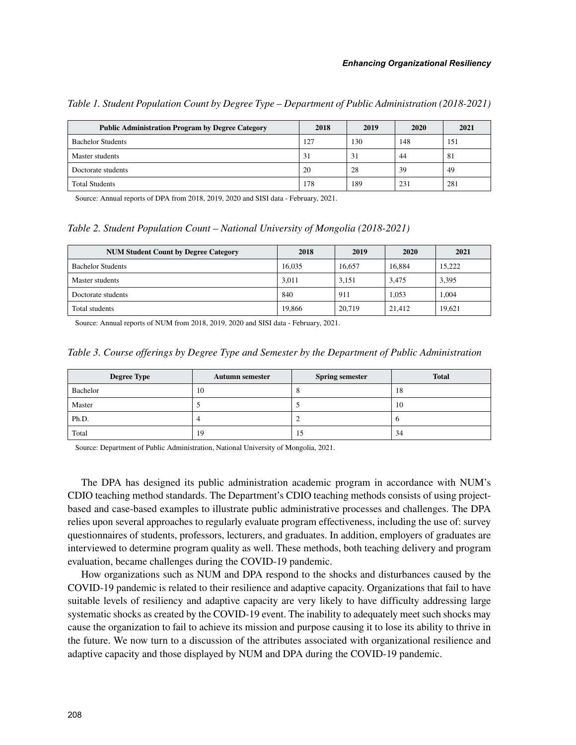| <b>Public Administration Program by Degree Category</b> | 2018 | 2019 | 2020 | 2021 |
|---------------------------------------------------------|------|------|------|------|
| <b>Bachelor Students</b>                                | 127  | 130  | 148  | 151  |
| Master students                                         | 31   | 31   | 44   | 81   |
| Doctorate students                                      | 20   | 28   | 39   | 49   |
| <b>Total Students</b>                                   | 178  | 189  | 231  | 281  |

*Table 1. Student Population Count by Degree Type – Department of Public Administration (2018-2021)*

Source: Annual reports of DPA from 2018, 2019, 2020 and SISI data - February, 2021.

*Table 2. Student Population Count – National University of Mongolia (2018-2021)*

| <b>NUM Student Count by Degree Category</b> | 2018   | 2019   | 2020   | 2021   |
|---------------------------------------------|--------|--------|--------|--------|
| <b>Bachelor Students</b>                    | 16.035 | 16.657 | 16.884 | 15.222 |
| Master students                             | 3.011  | 3.151  | 3.475  | 3,395  |
| Doctorate students                          | 840    | 911    | 1.053  | 1.004  |
| Total students                              | 19,866 | 20,719 | 21.412 | 19.621 |

Source: Annual reports of NUM from 2018, 2019, 2020 and SISI data - February, 2021.

|  |  |  | Table 3. Course offerings by Degree Type and Semester by the Department of Public Administration |  |  |  |
|--|--|--|--------------------------------------------------------------------------------------------------|--|--|--|
|  |  |  |                                                                                                  |  |  |  |

| <b>Degree Type</b> | <b>Autumn semester</b> | <b>Spring semester</b> | <b>Total</b> |  |
|--------------------|------------------------|------------------------|--------------|--|
| Bachelor           | 10                     |                        | 18           |  |
| Master             |                        | س                      | 10           |  |
| Ph.D.              |                        | <u>_</u>               |              |  |
| Total              | 19                     | 15                     | 34           |  |

Source: Department of Public Administration, National University of Mongolia, 2021.

The DPA has designed its public administration academic program in accordance with NUM's CDIO teaching method standards. The Department's CDIO teaching methods consists of using projectbased and case-based examples to illustrate public administrative processes and challenges. The DPA relies upon several approaches to regularly evaluate program effectiveness, including the use of: survey questionnaires of students, professors, lecturers, and graduates. In addition, employers of graduates are interviewed to determine program quality as well. These methods, both teaching delivery and program evaluation, became challenges during the COVID-19 pandemic.

How organizations such as NUM and DPA respond to the shocks and disturbances caused by the COVID-19 pandemic is related to their resilience and adaptive capacity. Organizations that fail to have suitable levels of resiliency and adaptive capacity are very likely to have difficulty addressing large systematic shocks as created by the COVID-19 event. The inability to adequately meet such shocks may cause the organization to fail to achieve its mission and purpose causing it to lose its ability to thrive in the future. We now turn to a discussion of the attributes associated with organizational resilience and adaptive capacity and those displayed by NUM and DPA during the COVID-19 pandemic.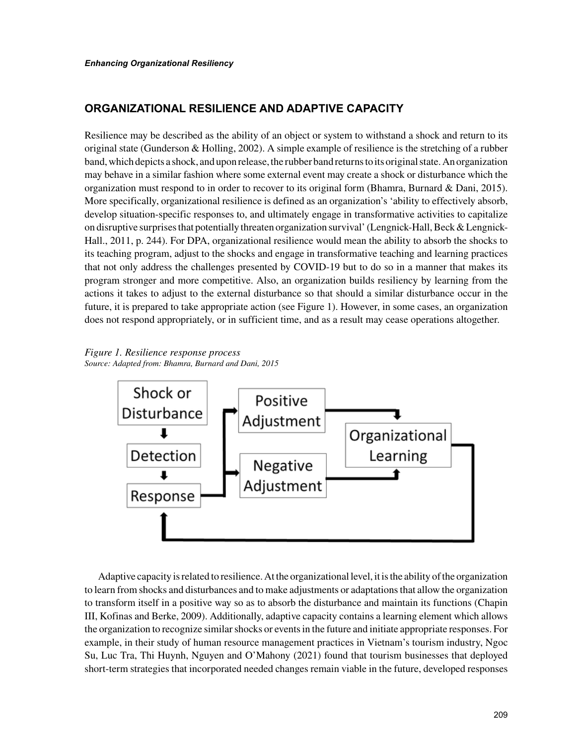# **ORGANIZATIONAL RESILIENCE AND ADAPTIVE CAPACITY**

Resilience may be described as the ability of an object or system to withstand a shock and return to its original state (Gunderson & Holling, 2002). A simple example of resilience is the stretching of a rubber band, which depicts a shock, and upon release, the rubber band returns to its original state. An organization may behave in a similar fashion where some external event may create a shock or disturbance which the organization must respond to in order to recover to its original form (Bhamra, Burnard & Dani, 2015). More specifically, organizational resilience is defined as an organization's 'ability to effectively absorb, develop situation-specific responses to, and ultimately engage in transformative activities to capitalize on disruptive surprises that potentially threaten organization survival' (Lengnick-Hall, Beck & Lengnick-Hall., 2011, p. 244). For DPA, organizational resilience would mean the ability to absorb the shocks to its teaching program, adjust to the shocks and engage in transformative teaching and learning practices that not only address the challenges presented by COVID-19 but to do so in a manner that makes its program stronger and more competitive. Also, an organization builds resiliency by learning from the actions it takes to adjust to the external disturbance so that should a similar disturbance occur in the future, it is prepared to take appropriate action (see Figure 1). However, in some cases, an organization does not respond appropriately, or in sufficient time, and as a result may cease operations altogether.

*Figure 1. Resilience response process Source: Adapted from: Bhamra, Burnard and Dani, 2015*



Adaptive capacity is related to resilience. At the organizational level, it is the ability of the organization to learn from shocks and disturbances and to make adjustments or adaptations that allow the organization to transform itself in a positive way so as to absorb the disturbance and maintain its functions (Chapin III, Kofinas and Berke, 2009). Additionally, adaptive capacity contains a learning element which allows the organization to recognize similar shocks or events in the future and initiate appropriate responses. For example, in their study of human resource management practices in Vietnam's tourism industry, Ngoc Su, Luc Tra, Thi Huynh, Nguyen and O'Mahony (2021) found that tourism businesses that deployed short-term strategies that incorporated needed changes remain viable in the future, developed responses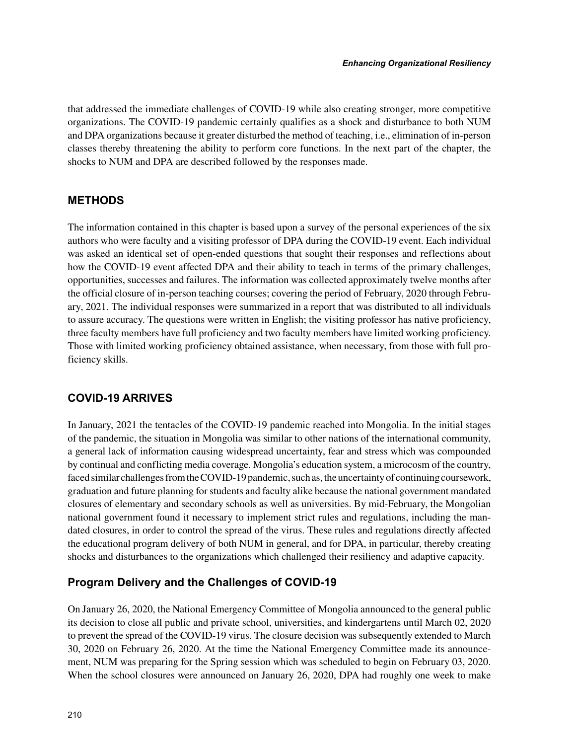that addressed the immediate challenges of COVID-19 while also creating stronger, more competitive organizations. The COVID-19 pandemic certainly qualifies as a shock and disturbance to both NUM and DPA organizations because it greater disturbed the method of teaching, i.e., elimination of in-person classes thereby threatening the ability to perform core functions. In the next part of the chapter, the shocks to NUM and DPA are described followed by the responses made.

# **METHODS**

The information contained in this chapter is based upon a survey of the personal experiences of the six authors who were faculty and a visiting professor of DPA during the COVID-19 event. Each individual was asked an identical set of open-ended questions that sought their responses and reflections about how the COVID-19 event affected DPA and their ability to teach in terms of the primary challenges, opportunities, successes and failures. The information was collected approximately twelve months after the official closure of in-person teaching courses; covering the period of February, 2020 through February, 2021. The individual responses were summarized in a report that was distributed to all individuals to assure accuracy. The questions were written in English; the visiting professor has native proficiency, three faculty members have full proficiency and two faculty members have limited working proficiency. Those with limited working proficiency obtained assistance, when necessary, from those with full proficiency skills.

# **COVID-19 ARRIVES**

In January, 2021 the tentacles of the COVID-19 pandemic reached into Mongolia. In the initial stages of the pandemic, the situation in Mongolia was similar to other nations of the international community, a general lack of information causing widespread uncertainty, fear and stress which was compounded by continual and conflicting media coverage. Mongolia's education system, a microcosm of the country, faced similar challenges from the COVID-19 pandemic, such as, the uncertainty of continuing coursework, graduation and future planning for students and faculty alike because the national government mandated closures of elementary and secondary schools as well as universities. By mid-February, the Mongolian national government found it necessary to implement strict rules and regulations, including the mandated closures, in order to control the spread of the virus. These rules and regulations directly affected the educational program delivery of both NUM in general, and for DPA, in particular, thereby creating shocks and disturbances to the organizations which challenged their resiliency and adaptive capacity.

# **Program Delivery and the Challenges of COVID-19**

On January 26, 2020, the National Emergency Committee of Mongolia announced to the general public its decision to close all public and private school, universities, and kindergartens until March 02, 2020 to prevent the spread of the COVID-19 virus. The closure decision was subsequently extended to March 30, 2020 on February 26, 2020. At the time the National Emergency Committee made its announcement, NUM was preparing for the Spring session which was scheduled to begin on February 03, 2020. When the school closures were announced on January 26, 2020, DPA had roughly one week to make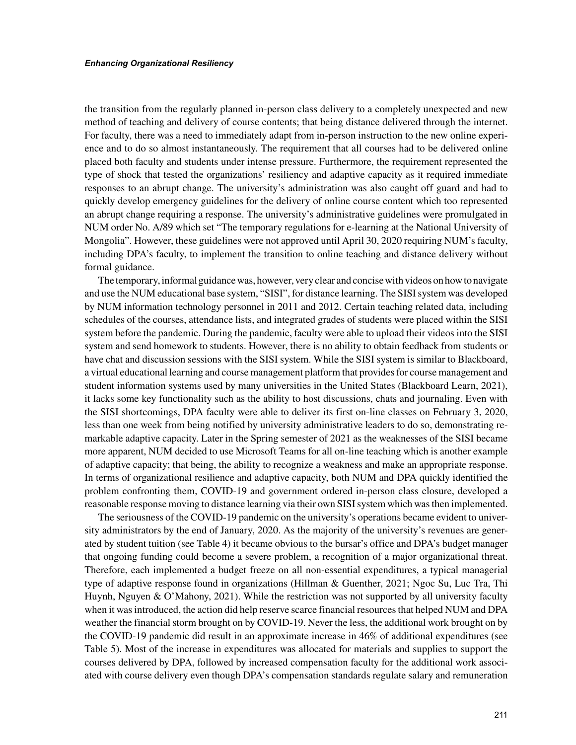the transition from the regularly planned in-person class delivery to a completely unexpected and new method of teaching and delivery of course contents; that being distance delivered through the internet. For faculty, there was a need to immediately adapt from in-person instruction to the new online experience and to do so almost instantaneously. The requirement that all courses had to be delivered online placed both faculty and students under intense pressure. Furthermore, the requirement represented the type of shock that tested the organizations' resiliency and adaptive capacity as it required immediate responses to an abrupt change. The university's administration was also caught off guard and had to quickly develop emergency guidelines for the delivery of online course content which too represented an abrupt change requiring a response. The university's administrative guidelines were promulgated in NUM order No. A/89 which set "The temporary regulations for e-learning at the National University of Mongolia". However, these guidelines were not approved until April 30, 2020 requiring NUM's faculty, including DPA's faculty, to implement the transition to online teaching and distance delivery without formal guidance.

The temporary, informal guidance was, however, very clear and concise with videos on how to navigate and use the NUM educational base system, "SISI", for distance learning. The SISI system was developed by NUM information technology personnel in 2011 and 2012. Certain teaching related data, including schedules of the courses, attendance lists, and integrated grades of students were placed within the SISI system before the pandemic. During the pandemic, faculty were able to upload their videos into the SISI system and send homework to students. However, there is no ability to obtain feedback from students or have chat and discussion sessions with the SISI system. While the SISI system is similar to Blackboard, a virtual educational learning and course management platform that provides for course management and student information systems used by many universities in the United States (Blackboard Learn, 2021), it lacks some key functionality such as the ability to host discussions, chats and journaling. Even with the SISI shortcomings, DPA faculty were able to deliver its first on-line classes on February 3, 2020, less than one week from being notified by university administrative leaders to do so, demonstrating remarkable adaptive capacity. Later in the Spring semester of 2021 as the weaknesses of the SISI became more apparent, NUM decided to use Microsoft Teams for all on-line teaching which is another example of adaptive capacity; that being, the ability to recognize a weakness and make an appropriate response. In terms of organizational resilience and adaptive capacity, both NUM and DPA quickly identified the problem confronting them, COVID-19 and government ordered in-person class closure, developed a reasonable response moving to distance learning via their own SISI system which was then implemented.

The seriousness of the COVID-19 pandemic on the university's operations became evident to university administrators by the end of January, 2020. As the majority of the university's revenues are generated by student tuition (see Table 4) it became obvious to the bursar's office and DPA's budget manager that ongoing funding could become a severe problem, a recognition of a major organizational threat. Therefore, each implemented a budget freeze on all non-essential expenditures, a typical managerial type of adaptive response found in organizations (Hillman & Guenther, 2021; Ngoc Su, Luc Tra, Thi Huynh, Nguyen & O'Mahony, 2021). While the restriction was not supported by all university faculty when it was introduced, the action did help reserve scarce financial resources that helped NUM and DPA weather the financial storm brought on by COVID-19. Never the less, the additional work brought on by the COVID-19 pandemic did result in an approximate increase in 46% of additional expenditures (see Table 5). Most of the increase in expenditures was allocated for materials and supplies to support the courses delivered by DPA, followed by increased compensation faculty for the additional work associated with course delivery even though DPA's compensation standards regulate salary and remuneration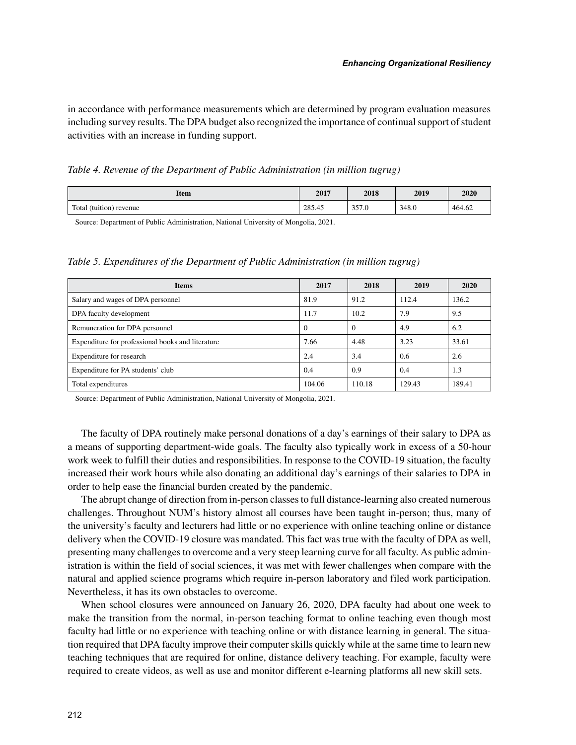in accordance with performance measurements which are determined by program evaluation measures including survey results. The DPA budget also recognized the importance of continual support of student activities with an increase in funding support.

*Table 4. Revenue of the Department of Public Administration (in million tugrug)*

| Item                    | 2017   | 2018          | 2019  | 2020   |
|-------------------------|--------|---------------|-------|--------|
| Total (tuition) revenue | 285.45 | 257<br>JJ 1.U | 348.0 | 464.62 |

Source: Department of Public Administration, National University of Mongolia, 2021.

*Table 5. Expenditures of the Department of Public Administration (in million tugrug)*

| <b>Items</b>                                      | 2017     | 2018     | 2019   | 2020   |
|---------------------------------------------------|----------|----------|--------|--------|
| Salary and wages of DPA personnel                 | 81.9     | 91.2     | 112.4  | 136.2  |
| DPA faculty development                           | 11.7     | 10.2     | 7.9    | 9.5    |
| Remuneration for DPA personnel                    | $\theta$ | $\theta$ | 4.9    | 6.2    |
| Expenditure for professional books and literature | 7.66     | 4.48     | 3.23   | 33.61  |
| Expenditure for research                          | 2.4      | 3.4      | 0.6    | 2.6    |
| Expenditure for PA students' club                 | 0.4      | 0.9      | 0.4    | 1.3    |
| Total expenditures                                | 104.06   | 110.18   | 129.43 | 189.41 |

Source: Department of Public Administration, National University of Mongolia, 2021.

The faculty of DPA routinely make personal donations of a day's earnings of their salary to DPA as a means of supporting department-wide goals. The faculty also typically work in excess of a 50-hour work week to fulfill their duties and responsibilities. In response to the COVID-19 situation, the faculty increased their work hours while also donating an additional day's earnings of their salaries to DPA in order to help ease the financial burden created by the pandemic.

The abrupt change of direction from in-person classes to full distance-learning also created numerous challenges. Throughout NUM's history almost all courses have been taught in-person; thus, many of the university's faculty and lecturers had little or no experience with online teaching online or distance delivery when the COVID-19 closure was mandated. This fact was true with the faculty of DPA as well, presenting many challenges to overcome and a very steep learning curve for all faculty. As public administration is within the field of social sciences, it was met with fewer challenges when compare with the natural and applied science programs which require in-person laboratory and filed work participation. Nevertheless, it has its own obstacles to overcome.

When school closures were announced on January 26, 2020, DPA faculty had about one week to make the transition from the normal, in-person teaching format to online teaching even though most faculty had little or no experience with teaching online or with distance learning in general. The situation required that DPA faculty improve their computer skills quickly while at the same time to learn new teaching techniques that are required for online, distance delivery teaching. For example, faculty were required to create videos, as well as use and monitor different e-learning platforms all new skill sets.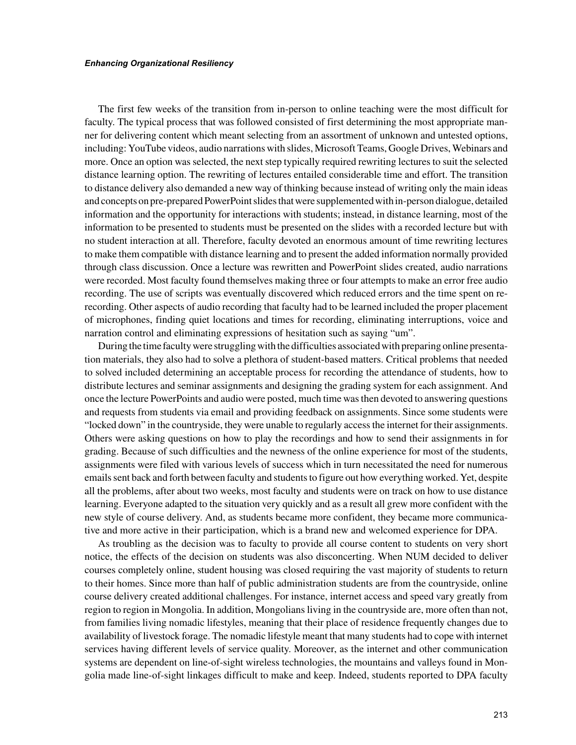The first few weeks of the transition from in-person to online teaching were the most difficult for faculty. The typical process that was followed consisted of first determining the most appropriate manner for delivering content which meant selecting from an assortment of unknown and untested options, including: YouTube videos, audio narrations with slides, Microsoft Teams, Google Drives, Webinars and more. Once an option was selected, the next step typically required rewriting lectures to suit the selected distance learning option. The rewriting of lectures entailed considerable time and effort. The transition to distance delivery also demanded a new way of thinking because instead of writing only the main ideas and concepts on pre-prepared PowerPoint slides that were supplemented with in-person dialogue, detailed information and the opportunity for interactions with students; instead, in distance learning, most of the information to be presented to students must be presented on the slides with a recorded lecture but with no student interaction at all. Therefore, faculty devoted an enormous amount of time rewriting lectures to make them compatible with distance learning and to present the added information normally provided through class discussion. Once a lecture was rewritten and PowerPoint slides created, audio narrations were recorded. Most faculty found themselves making three or four attempts to make an error free audio recording. The use of scripts was eventually discovered which reduced errors and the time spent on rerecording. Other aspects of audio recording that faculty had to be learned included the proper placement of microphones, finding quiet locations and times for recording, eliminating interruptions, voice and narration control and eliminating expressions of hesitation such as saying "um".

During the time faculty were struggling with the difficulties associated with preparing online presentation materials, they also had to solve a plethora of student-based matters. Critical problems that needed to solved included determining an acceptable process for recording the attendance of students, how to distribute lectures and seminar assignments and designing the grading system for each assignment. And once the lecture PowerPoints and audio were posted, much time was then devoted to answering questions and requests from students via email and providing feedback on assignments. Since some students were "locked down" in the countryside, they were unable to regularly access the internet for their assignments. Others were asking questions on how to play the recordings and how to send their assignments in for grading. Because of such difficulties and the newness of the online experience for most of the students, assignments were filed with various levels of success which in turn necessitated the need for numerous emails sent back and forth between faculty and students to figure out how everything worked. Yet, despite all the problems, after about two weeks, most faculty and students were on track on how to use distance learning. Everyone adapted to the situation very quickly and as a result all grew more confident with the new style of course delivery. And, as students became more confident, they became more communicative and more active in their participation, which is a brand new and welcomed experience for DPA.

As troubling as the decision was to faculty to provide all course content to students on very short notice, the effects of the decision on students was also disconcerting. When NUM decided to deliver courses completely online, student housing was closed requiring the vast majority of students to return to their homes. Since more than half of public administration students are from the countryside, online course delivery created additional challenges. For instance, internet access and speed vary greatly from region to region in Mongolia. In addition, Mongolians living in the countryside are, more often than not, from families living nomadic lifestyles, meaning that their place of residence frequently changes due to availability of livestock forage. The nomadic lifestyle meant that many students had to cope with internet services having different levels of service quality. Moreover, as the internet and other communication systems are dependent on line-of-sight wireless technologies, the mountains and valleys found in Mongolia made line-of-sight linkages difficult to make and keep. Indeed, students reported to DPA faculty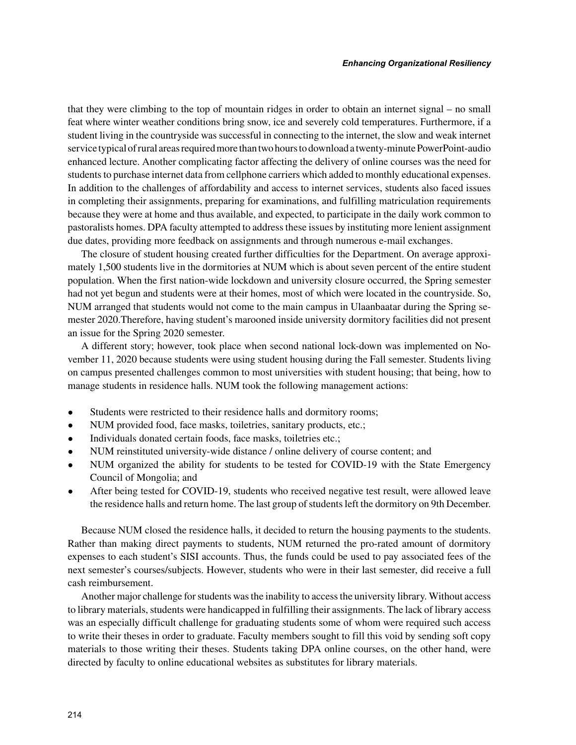that they were climbing to the top of mountain ridges in order to obtain an internet signal – no small feat where winter weather conditions bring snow, ice and severely cold temperatures. Furthermore, if a student living in the countryside was successful in connecting to the internet, the slow and weak internet service typical of rural areas required more than two hours to download a twenty-minute PowerPoint-audio enhanced lecture. Another complicating factor affecting the delivery of online courses was the need for students to purchase internet data from cellphone carriers which added to monthly educational expenses. In addition to the challenges of affordability and access to internet services, students also faced issues in completing their assignments, preparing for examinations, and fulfilling matriculation requirements because they were at home and thus available, and expected, to participate in the daily work common to pastoralists homes. DPA faculty attempted to address these issues by instituting more lenient assignment due dates, providing more feedback on assignments and through numerous e-mail exchanges.

The closure of student housing created further difficulties for the Department. On average approximately 1,500 students live in the dormitories at NUM which is about seven percent of the entire student population. When the first nation-wide lockdown and university closure occurred, the Spring semester had not yet begun and students were at their homes, most of which were located in the countryside. So, NUM arranged that students would not come to the main campus in Ulaanbaatar during the Spring semester 2020.Therefore, having student's marooned inside university dormitory facilities did not present an issue for the Spring 2020 semester.

A different story; however, took place when second national lock-down was implemented on November 11, 2020 because students were using student housing during the Fall semester. Students living on campus presented challenges common to most universities with student housing; that being, how to manage students in residence halls. NUM took the following management actions:

- Students were restricted to their residence halls and dormitory rooms;
- NUM provided food, face masks, toiletries, sanitary products, etc.;
- Individuals donated certain foods, face masks, toiletries etc.;
- NUM reinstituted university-wide distance / online delivery of course content; and
- NUM organized the ability for students to be tested for COVID-19 with the State Emergency Council of Mongolia; and
- After being tested for COVID-19, students who received negative test result, were allowed leave the residence halls and return home. The last group of students left the dormitory on 9th December.

Because NUM closed the residence halls, it decided to return the housing payments to the students. Rather than making direct payments to students, NUM returned the pro-rated amount of dormitory expenses to each student's SISI accounts. Thus, the funds could be used to pay associated fees of the next semester's courses/subjects. However, students who were in their last semester, did receive a full cash reimbursement.

Another major challenge for students was the inability to access the university library. Without access to library materials, students were handicapped in fulfilling their assignments. The lack of library access was an especially difficult challenge for graduating students some of whom were required such access to write their theses in order to graduate. Faculty members sought to fill this void by sending soft copy materials to those writing their theses. Students taking DPA online courses, on the other hand, were directed by faculty to online educational websites as substitutes for library materials.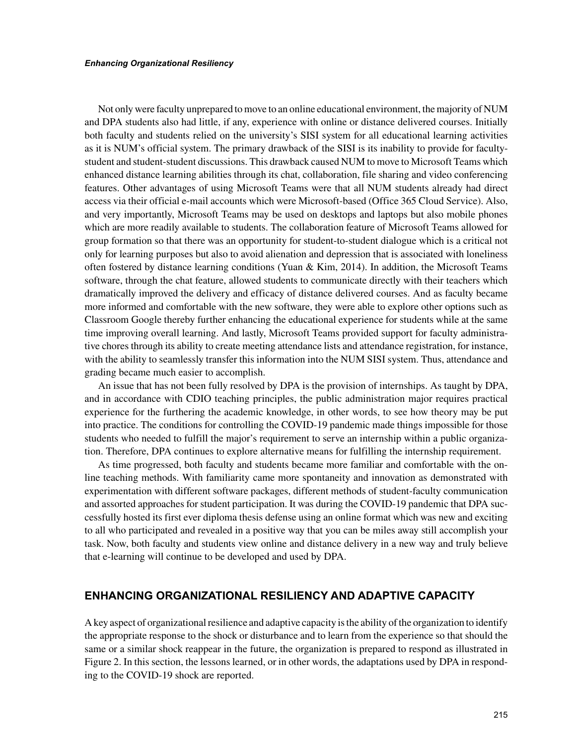Not only were faculty unprepared to move to an online educational environment, the majority of NUM and DPA students also had little, if any, experience with online or distance delivered courses. Initially both faculty and students relied on the university's SISI system for all educational learning activities as it is NUM's official system. The primary drawback of the SISI is its inability to provide for facultystudent and student-student discussions. This drawback caused NUM to move to Microsoft Teams which enhanced distance learning abilities through its chat, collaboration, file sharing and video conferencing features. Other advantages of using Microsoft Teams were that all NUM students already had direct access via their official e-mail accounts which were Microsoft-based (Office 365 Cloud Service). Also, and very importantly, Microsoft Teams may be used on desktops and laptops but also mobile phones which are more readily available to students. The collaboration feature of Microsoft Teams allowed for group formation so that there was an opportunity for student-to-student dialogue which is a critical not only for learning purposes but also to avoid alienation and depression that is associated with loneliness often fostered by distance learning conditions (Yuan & Kim, 2014). In addition, the Microsoft Teams software, through the chat feature, allowed students to communicate directly with their teachers which dramatically improved the delivery and efficacy of distance delivered courses. And as faculty became more informed and comfortable with the new software, they were able to explore other options such as Classroom Google thereby further enhancing the educational experience for students while at the same time improving overall learning. And lastly, Microsoft Teams provided support for faculty administrative chores through its ability to create meeting attendance lists and attendance registration, for instance, with the ability to seamlessly transfer this information into the NUM SISI system. Thus, attendance and grading became much easier to accomplish.

An issue that has not been fully resolved by DPA is the provision of internships. As taught by DPA, and in accordance with CDIO teaching principles, the public administration major requires practical experience for the furthering the academic knowledge, in other words, to see how theory may be put into practice. The conditions for controlling the COVID-19 pandemic made things impossible for those students who needed to fulfill the major's requirement to serve an internship within a public organization. Therefore, DPA continues to explore alternative means for fulfilling the internship requirement.

As time progressed, both faculty and students became more familiar and comfortable with the online teaching methods. With familiarity came more spontaneity and innovation as demonstrated with experimentation with different software packages, different methods of student-faculty communication and assorted approaches for student participation. It was during the COVID-19 pandemic that DPA successfully hosted its first ever diploma thesis defense using an online format which was new and exciting to all who participated and revealed in a positive way that you can be miles away still accomplish your task. Now, both faculty and students view online and distance delivery in a new way and truly believe that e-learning will continue to be developed and used by DPA.

## **ENHANCING ORGANIZATIONAL RESILIENCY AND ADAPTIVE CAPACITY**

A key aspect of organizational resilience and adaptive capacity is the ability of the organization to identify the appropriate response to the shock or disturbance and to learn from the experience so that should the same or a similar shock reappear in the future, the organization is prepared to respond as illustrated in Figure 2. In this section, the lessons learned, or in other words, the adaptations used by DPA in responding to the COVID-19 shock are reported.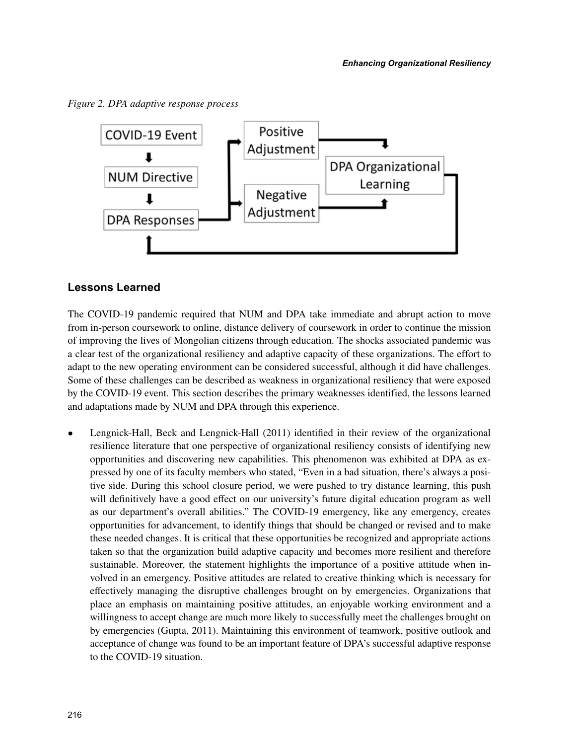*Figure 2. DPA adaptive response process*



# **Lessons Learned**

The COVID-19 pandemic required that NUM and DPA take immediate and abrupt action to move from in-person coursework to online, distance delivery of coursework in order to continue the mission of improving the lives of Mongolian citizens through education. The shocks associated pandemic was a clear test of the organizational resiliency and adaptive capacity of these organizations. The effort to adapt to the new operating environment can be considered successful, although it did have challenges. Some of these challenges can be described as weakness in organizational resiliency that were exposed by the COVID-19 event. This section describes the primary weaknesses identified, the lessons learned and adaptations made by NUM and DPA through this experience.

• Lengnick-Hall, Beck and Lengnick-Hall (2011) identified in their review of the organizational resilience literature that one perspective of organizational resiliency consists of identifying new opportunities and discovering new capabilities. This phenomenon was exhibited at DPA as expressed by one of its faculty members who stated, "Even in a bad situation, there's always a positive side. During this school closure period, we were pushed to try distance learning, this push will definitively have a good effect on our university's future digital education program as well as our department's overall abilities." The COVID-19 emergency, like any emergency, creates opportunities for advancement, to identify things that should be changed or revised and to make these needed changes. It is critical that these opportunities be recognized and appropriate actions taken so that the organization build adaptive capacity and becomes more resilient and therefore sustainable. Moreover, the statement highlights the importance of a positive attitude when involved in an emergency. Positive attitudes are related to creative thinking which is necessary for effectively managing the disruptive challenges brought on by emergencies. Organizations that place an emphasis on maintaining positive attitudes, an enjoyable working environment and a willingness to accept change are much more likely to successfully meet the challenges brought on by emergencies (Gupta, 2011). Maintaining this environment of teamwork, positive outlook and acceptance of change was found to be an important feature of DPA's successful adaptive response to the COVID-19 situation.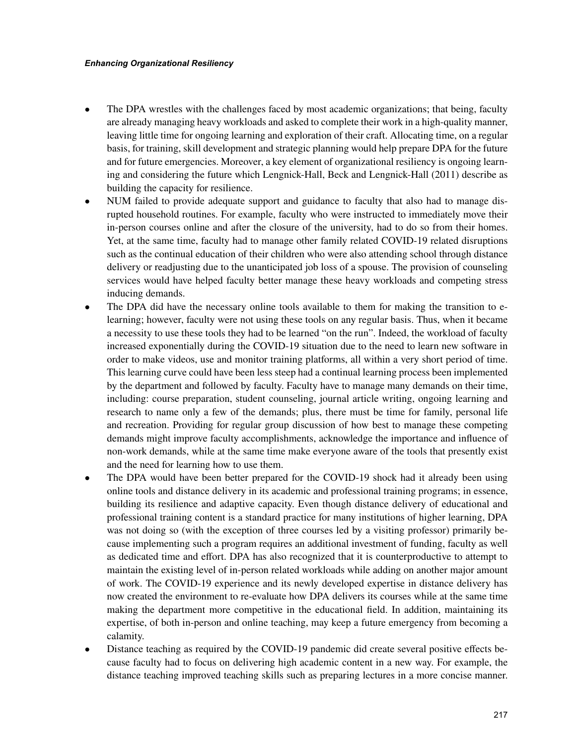- The DPA wrestles with the challenges faced by most academic organizations; that being, faculty are already managing heavy workloads and asked to complete their work in a high-quality manner, leaving little time for ongoing learning and exploration of their craft. Allocating time, on a regular basis, for training, skill development and strategic planning would help prepare DPA for the future and for future emergencies. Moreover, a key element of organizational resiliency is ongoing learning and considering the future which Lengnick-Hall, Beck and Lengnick-Hall (2011) describe as building the capacity for resilience.
- NUM failed to provide adequate support and guidance to faculty that also had to manage disrupted household routines. For example, faculty who were instructed to immediately move their in-person courses online and after the closure of the university, had to do so from their homes. Yet, at the same time, faculty had to manage other family related COVID-19 related disruptions such as the continual education of their children who were also attending school through distance delivery or readjusting due to the unanticipated job loss of a spouse. The provision of counseling services would have helped faculty better manage these heavy workloads and competing stress inducing demands.
- The DPA did have the necessary online tools available to them for making the transition to elearning; however, faculty were not using these tools on any regular basis. Thus, when it became a necessity to use these tools they had to be learned "on the run". Indeed, the workload of faculty increased exponentially during the COVID-19 situation due to the need to learn new software in order to make videos, use and monitor training platforms, all within a very short period of time. This learning curve could have been less steep had a continual learning process been implemented by the department and followed by faculty. Faculty have to manage many demands on their time, including: course preparation, student counseling, journal article writing, ongoing learning and research to name only a few of the demands; plus, there must be time for family, personal life and recreation. Providing for regular group discussion of how best to manage these competing demands might improve faculty accomplishments, acknowledge the importance and influence of non-work demands, while at the same time make everyone aware of the tools that presently exist and the need for learning how to use them.
- The DPA would have been better prepared for the COVID-19 shock had it already been using online tools and distance delivery in its academic and professional training programs; in essence, building its resilience and adaptive capacity. Even though distance delivery of educational and professional training content is a standard practice for many institutions of higher learning, DPA was not doing so (with the exception of three courses led by a visiting professor) primarily because implementing such a program requires an additional investment of funding, faculty as well as dedicated time and effort. DPA has also recognized that it is counterproductive to attempt to maintain the existing level of in-person related workloads while adding on another major amount of work. The COVID-19 experience and its newly developed expertise in distance delivery has now created the environment to re-evaluate how DPA delivers its courses while at the same time making the department more competitive in the educational field. In addition, maintaining its expertise, of both in-person and online teaching, may keep a future emergency from becoming a calamity.
- Distance teaching as required by the COVID-19 pandemic did create several positive effects because faculty had to focus on delivering high academic content in a new way. For example, the distance teaching improved teaching skills such as preparing lectures in a more concise manner.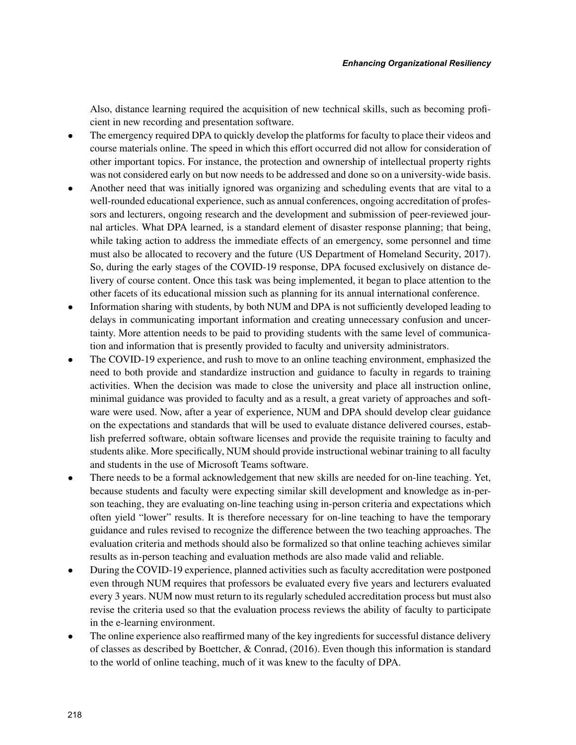Also, distance learning required the acquisition of new technical skills, such as becoming proficient in new recording and presentation software.

- The emergency required DPA to quickly develop the platforms for faculty to place their videos and course materials online. The speed in which this effort occurred did not allow for consideration of other important topics. For instance, the protection and ownership of intellectual property rights was not considered early on but now needs to be addressed and done so on a university-wide basis.
- Another need that was initially ignored was organizing and scheduling events that are vital to a well-rounded educational experience, such as annual conferences, ongoing accreditation of professors and lecturers, ongoing research and the development and submission of peer-reviewed journal articles. What DPA learned, is a standard element of disaster response planning; that being, while taking action to address the immediate effects of an emergency, some personnel and time must also be allocated to recovery and the future (US Department of Homeland Security, 2017). So, during the early stages of the COVID-19 response, DPA focused exclusively on distance delivery of course content. Once this task was being implemented, it began to place attention to the other facets of its educational mission such as planning for its annual international conference.
- Information sharing with students, by both NUM and DPA is not sufficiently developed leading to delays in communicating important information and creating unnecessary confusion and uncertainty. More attention needs to be paid to providing students with the same level of communication and information that is presently provided to faculty and university administrators.
- The COVID-19 experience, and rush to move to an online teaching environment, emphasized the need to both provide and standardize instruction and guidance to faculty in regards to training activities. When the decision was made to close the university and place all instruction online, minimal guidance was provided to faculty and as a result, a great variety of approaches and software were used. Now, after a year of experience, NUM and DPA should develop clear guidance on the expectations and standards that will be used to evaluate distance delivered courses, establish preferred software, obtain software licenses and provide the requisite training to faculty and students alike. More specifically, NUM should provide instructional webinar training to all faculty and students in the use of Microsoft Teams software.
- There needs to be a formal acknowledgement that new skills are needed for on-line teaching. Yet, because students and faculty were expecting similar skill development and knowledge as in-person teaching, they are evaluating on-line teaching using in-person criteria and expectations which often yield "lower" results. It is therefore necessary for on-line teaching to have the temporary guidance and rules revised to recognize the difference between the two teaching approaches. The evaluation criteria and methods should also be formalized so that online teaching achieves similar results as in-person teaching and evaluation methods are also made valid and reliable.
- During the COVID-19 experience, planned activities such as faculty accreditation were postponed even through NUM requires that professors be evaluated every five years and lecturers evaluated every 3 years. NUM now must return to its regularly scheduled accreditation process but must also revise the criteria used so that the evaluation process reviews the ability of faculty to participate in the e-learning environment.
- The online experience also reaffirmed many of the key ingredients for successful distance delivery of classes as described by Boettcher, & Conrad, (2016). Even though this information is standard to the world of online teaching, much of it was knew to the faculty of DPA.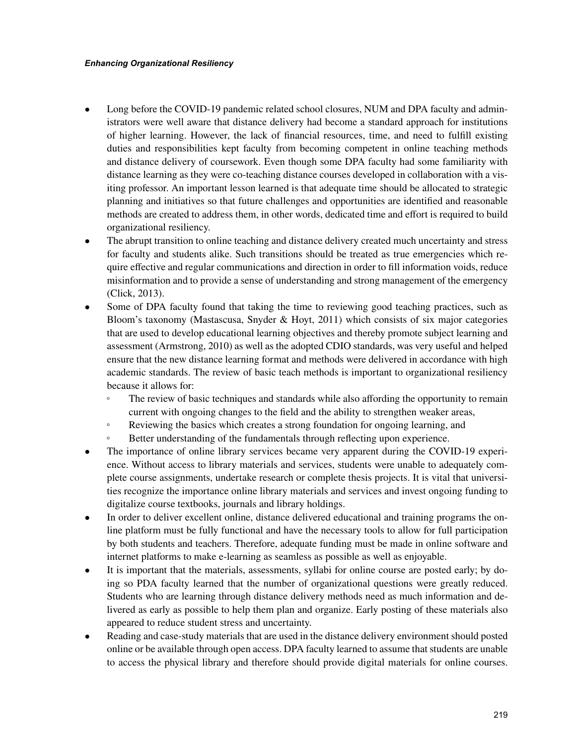- Long before the COVID-19 pandemic related school closures, NUM and DPA faculty and administrators were well aware that distance delivery had become a standard approach for institutions of higher learning. However, the lack of financial resources, time, and need to fulfill existing duties and responsibilities kept faculty from becoming competent in online teaching methods and distance delivery of coursework. Even though some DPA faculty had some familiarity with distance learning as they were co-teaching distance courses developed in collaboration with a visiting professor. An important lesson learned is that adequate time should be allocated to strategic planning and initiatives so that future challenges and opportunities are identified and reasonable methods are created to address them, in other words, dedicated time and effort is required to build organizational resiliency.
- The abrupt transition to online teaching and distance delivery created much uncertainty and stress for faculty and students alike. Such transitions should be treated as true emergencies which require effective and regular communications and direction in order to fill information voids, reduce misinformation and to provide a sense of understanding and strong management of the emergency (Click, 2013).
- Some of DPA faculty found that taking the time to reviewing good teaching practices, such as Bloom's taxonomy (Mastascusa, Snyder & Hoyt, 2011) which consists of six major categories that are used to develop educational learning objectives and thereby promote subject learning and assessment (Armstrong, 2010) as well as the adopted CDIO standards, was very useful and helped ensure that the new distance learning format and methods were delivered in accordance with high academic standards. The review of basic teach methods is important to organizational resiliency because it allows for:
	- The review of basic techniques and standards while also affording the opportunity to remain current with ongoing changes to the field and the ability to strengthen weaker areas,
	- Reviewing the basics which creates a strong foundation for ongoing learning, and
	- Better understanding of the fundamentals through reflecting upon experience.
- The importance of online library services became very apparent during the COVID-19 experience. Without access to library materials and services, students were unable to adequately complete course assignments, undertake research or complete thesis projects. It is vital that universities recognize the importance online library materials and services and invest ongoing funding to digitalize course textbooks, journals and library holdings.
- In order to deliver excellent online, distance delivered educational and training programs the online platform must be fully functional and have the necessary tools to allow for full participation by both students and teachers. Therefore, adequate funding must be made in online software and internet platforms to make e-learning as seamless as possible as well as enjoyable.
- It is important that the materials, assessments, syllabi for online course are posted early; by doing so PDA faculty learned that the number of organizational questions were greatly reduced. Students who are learning through distance delivery methods need as much information and delivered as early as possible to help them plan and organize. Early posting of these materials also appeared to reduce student stress and uncertainty.
- Reading and case-study materials that are used in the distance delivery environment should posted online or be available through open access. DPA faculty learned to assume that students are unable to access the physical library and therefore should provide digital materials for online courses.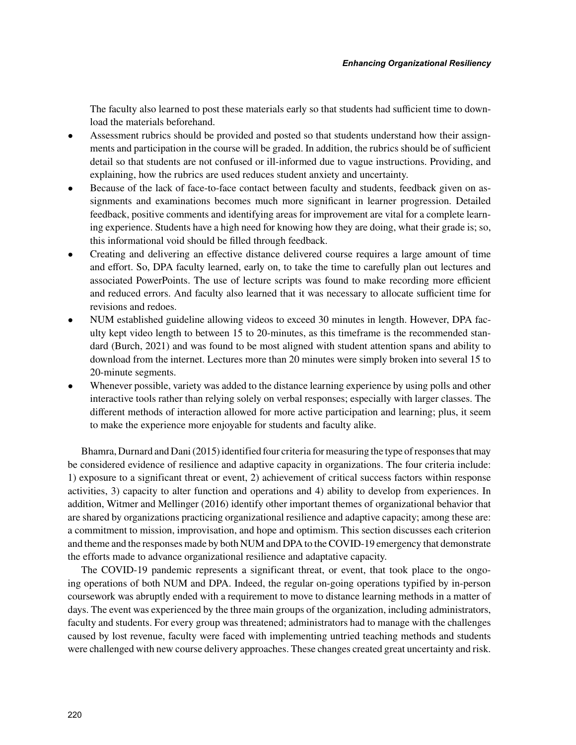The faculty also learned to post these materials early so that students had sufficient time to download the materials beforehand.

- Assessment rubrics should be provided and posted so that students understand how their assignments and participation in the course will be graded. In addition, the rubrics should be of sufficient detail so that students are not confused or ill-informed due to vague instructions. Providing, and explaining, how the rubrics are used reduces student anxiety and uncertainty.
- Because of the lack of face-to-face contact between faculty and students, feedback given on assignments and examinations becomes much more significant in learner progression. Detailed feedback, positive comments and identifying areas for improvement are vital for a complete learning experience. Students have a high need for knowing how they are doing, what their grade is; so, this informational void should be filled through feedback.
- Creating and delivering an effective distance delivered course requires a large amount of time and effort. So, DPA faculty learned, early on, to take the time to carefully plan out lectures and associated PowerPoints. The use of lecture scripts was found to make recording more efficient and reduced errors. And faculty also learned that it was necessary to allocate sufficient time for revisions and redoes.
- NUM established guideline allowing videos to exceed 30 minutes in length. However, DPA faculty kept video length to between 15 to 20-minutes, as this timeframe is the recommended standard (Burch, 2021) and was found to be most aligned with student attention spans and ability to download from the internet. Lectures more than 20 minutes were simply broken into several 15 to 20-minute segments.
- Whenever possible, variety was added to the distance learning experience by using polls and other interactive tools rather than relying solely on verbal responses; especially with larger classes. The different methods of interaction allowed for more active participation and learning; plus, it seem to make the experience more enjoyable for students and faculty alike.

Bhamra, Durnard and Dani (2015) identified four criteria for measuring the type of responses that may be considered evidence of resilience and adaptive capacity in organizations. The four criteria include: 1) exposure to a significant threat or event, 2) achievement of critical success factors within response activities, 3) capacity to alter function and operations and 4) ability to develop from experiences. In addition, Witmer and Mellinger (2016) identify other important themes of organizational behavior that are shared by organizations practicing organizational resilience and adaptive capacity; among these are: a commitment to mission, improvisation, and hope and optimism. This section discusses each criterion and theme and the responses made by both NUM and DPA to the COVID-19 emergency that demonstrate the efforts made to advance organizational resilience and adaptative capacity.

The COVID-19 pandemic represents a significant threat, or event, that took place to the ongoing operations of both NUM and DPA. Indeed, the regular on-going operations typified by in-person coursework was abruptly ended with a requirement to move to distance learning methods in a matter of days. The event was experienced by the three main groups of the organization, including administrators, faculty and students. For every group was threatened; administrators had to manage with the challenges caused by lost revenue, faculty were faced with implementing untried teaching methods and students were challenged with new course delivery approaches. These changes created great uncertainty and risk.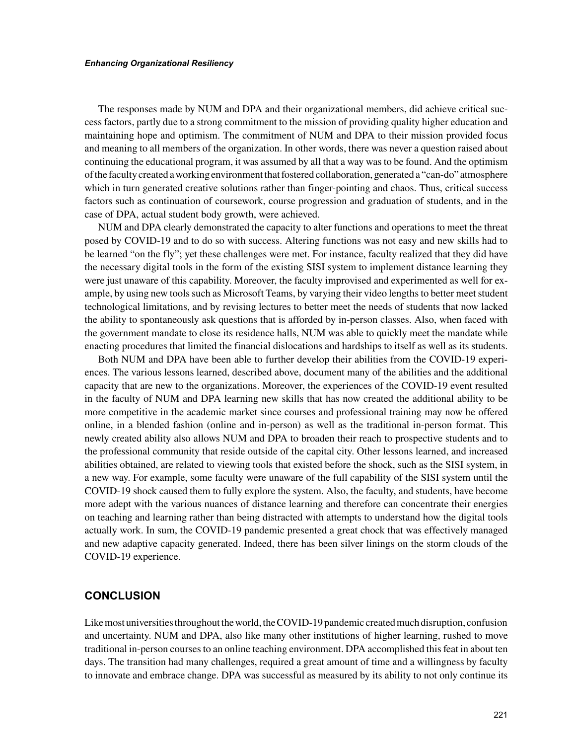The responses made by NUM and DPA and their organizational members, did achieve critical success factors, partly due to a strong commitment to the mission of providing quality higher education and maintaining hope and optimism. The commitment of NUM and DPA to their mission provided focus and meaning to all members of the organization. In other words, there was never a question raised about continuing the educational program, it was assumed by all that a way was to be found. And the optimism of the faculty created a working environment that fostered collaboration, generated a "can-do" atmosphere which in turn generated creative solutions rather than finger-pointing and chaos. Thus, critical success factors such as continuation of coursework, course progression and graduation of students, and in the case of DPA, actual student body growth, were achieved.

NUM and DPA clearly demonstrated the capacity to alter functions and operations to meet the threat posed by COVID-19 and to do so with success. Altering functions was not easy and new skills had to be learned "on the fly"; yet these challenges were met. For instance, faculty realized that they did have the necessary digital tools in the form of the existing SISI system to implement distance learning they were just unaware of this capability. Moreover, the faculty improvised and experimented as well for example, by using new tools such as Microsoft Teams, by varying their video lengths to better meet student technological limitations, and by revising lectures to better meet the needs of students that now lacked the ability to spontaneously ask questions that is afforded by in-person classes. Also, when faced with the government mandate to close its residence halls, NUM was able to quickly meet the mandate while enacting procedures that limited the financial dislocations and hardships to itself as well as its students.

Both NUM and DPA have been able to further develop their abilities from the COVID-19 experiences. The various lessons learned, described above, document many of the abilities and the additional capacity that are new to the organizations. Moreover, the experiences of the COVID-19 event resulted in the faculty of NUM and DPA learning new skills that has now created the additional ability to be more competitive in the academic market since courses and professional training may now be offered online, in a blended fashion (online and in-person) as well as the traditional in-person format. This newly created ability also allows NUM and DPA to broaden their reach to prospective students and to the professional community that reside outside of the capital city. Other lessons learned, and increased abilities obtained, are related to viewing tools that existed before the shock, such as the SISI system, in a new way. For example, some faculty were unaware of the full capability of the SISI system until the COVID-19 shock caused them to fully explore the system. Also, the faculty, and students, have become more adept with the various nuances of distance learning and therefore can concentrate their energies on teaching and learning rather than being distracted with attempts to understand how the digital tools actually work. In sum, the COVID-19 pandemic presented a great chock that was effectively managed and new adaptive capacity generated. Indeed, there has been silver linings on the storm clouds of the COVID-19 experience.

## **CONCLUSION**

Like most universities throughout the world, the COVID-19 pandemic created much disruption, confusion and uncertainty. NUM and DPA, also like many other institutions of higher learning, rushed to move traditional in-person courses to an online teaching environment. DPA accomplished this feat in about ten days. The transition had many challenges, required a great amount of time and a willingness by faculty to innovate and embrace change. DPA was successful as measured by its ability to not only continue its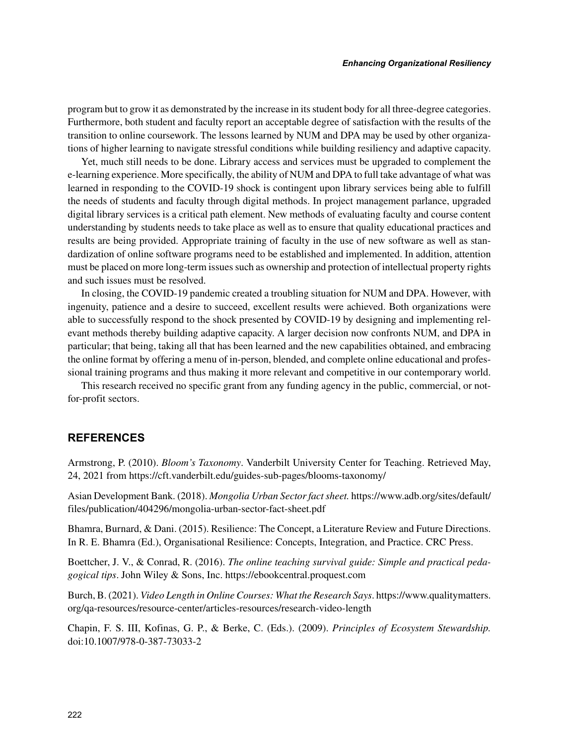program but to grow it as demonstrated by the increase in its student body for all three-degree categories. Furthermore, both student and faculty report an acceptable degree of satisfaction with the results of the transition to online coursework. The lessons learned by NUM and DPA may be used by other organizations of higher learning to navigate stressful conditions while building resiliency and adaptive capacity.

Yet, much still needs to be done. Library access and services must be upgraded to complement the e-learning experience. More specifically, the ability of NUM and DPA to full take advantage of what was learned in responding to the COVID-19 shock is contingent upon library services being able to fulfill the needs of students and faculty through digital methods. In project management parlance, upgraded digital library services is a critical path element. New methods of evaluating faculty and course content understanding by students needs to take place as well as to ensure that quality educational practices and results are being provided. Appropriate training of faculty in the use of new software as well as standardization of online software programs need to be established and implemented. In addition, attention must be placed on more long-term issues such as ownership and protection of intellectual property rights and such issues must be resolved.

In closing, the COVID-19 pandemic created a troubling situation for NUM and DPA. However, with ingenuity, patience and a desire to succeed, excellent results were achieved. Both organizations were able to successfully respond to the shock presented by COVID-19 by designing and implementing relevant methods thereby building adaptive capacity. A larger decision now confronts NUM, and DPA in particular; that being, taking all that has been learned and the new capabilities obtained, and embracing the online format by offering a menu of in-person, blended, and complete online educational and professional training programs and thus making it more relevant and competitive in our contemporary world.

This research received no specific grant from any funding agency in the public, commercial, or notfor-profit sectors.

## **REFERENCES**

Armstrong, P. (2010). *Bloom's Taxonomy*. Vanderbilt University Center for Teaching. Retrieved May, 24, 2021 from<https://cft.vanderbilt.edu/guides-sub-pages/blooms-taxonomy/>

Asian Development Bank. (2018). *Mongolia Urban Sector fact sheet.* [https://www.adb.org/sites/default/](https://www.adb.org/sites/default/files/publication/404296/mongolia-urban-sector-fact-sheet.pdf) [files/publication/404296/mongolia-urban-sector-fact-sheet.pdf](https://www.adb.org/sites/default/files/publication/404296/mongolia-urban-sector-fact-sheet.pdf)

Bhamra, Burnard, & Dani. (2015). Resilience: The Concept, a Literature Review and Future Directions. In R. E. Bhamra (Ed.), Organisational Resilience: Concepts, Integration, and Practice. CRC Press.

Boettcher, J. V., & Conrad, R. (2016). *The online teaching survival guide: Simple and practical pedagogical tips*. John Wiley & Sons, Inc. <https://ebookcentral.proquest.com>

Burch, B. (2021). *Video Length in Online Courses: What the Research Says*. [https://www.qualitymatters.](https://www.qualitymatters.org/qa-resources/resource-center/articles-resources/research-video-length) [org/qa-resources/resource-center/articles-resources/research-video-length](https://www.qualitymatters.org/qa-resources/resource-center/articles-resources/research-video-length)

Chapin, F. S. III, Kofinas, G. P., & Berke, C. (Eds.). (2009). *Principles of Ecosystem Stewardship.* doi:10.1007/978-0-387-73033-2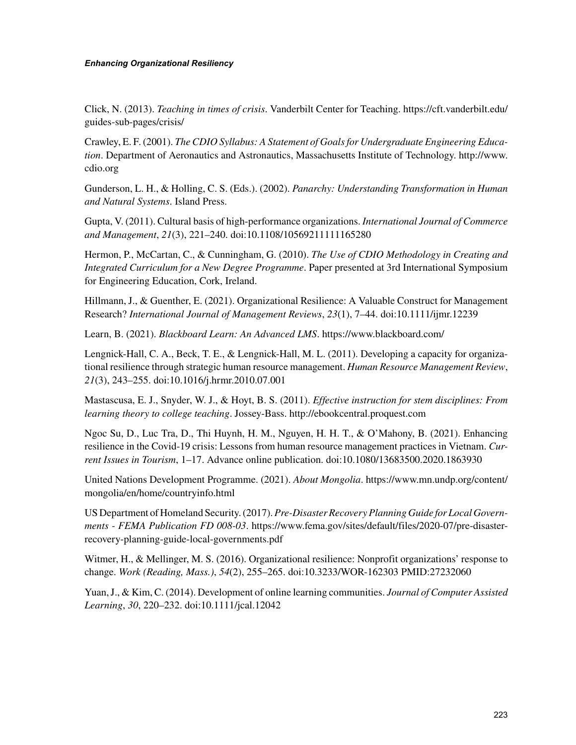Click, N. (2013). *Teaching in times of crisis*. Vanderbilt Center for Teaching. [https://cft.vanderbilt.edu/](https://cft.vanderbilt.edu/guides-sub-pages/crisis/) [guides-sub-pages/crisis/](https://cft.vanderbilt.edu/guides-sub-pages/crisis/)

Crawley, E. F. (2001). *The CDIO Syllabus: A Statement of Goals for Undergraduate Engineering Education*. Department of Aeronautics and Astronautics, Massachusetts Institute of Technology. [http://www.](http://www.cdio.org) [cdio.org](http://www.cdio.org)

Gunderson, L. H., & Holling, C. S. (Eds.). (2002). *Panarchy: Understanding Transformation in Human and Natural Systems*. Island Press.

Gupta, V. (2011). Cultural basis of high-performance organizations. *International Journal of Commerce and Management*, *21*(3), 221–240. doi:10.1108/10569211111165280

Hermon, P., McCartan, C., & Cunningham, G. (2010). *The Use of CDIO Methodology in Creating and Integrated Curriculum for a New Degree Programme*. Paper presented at 3rd International Symposium for Engineering Education, Cork, Ireland.

Hillmann, J., & Guenther, E. (2021). Organizational Resilience: A Valuable Construct for Management Research? *International Journal of Management Reviews*, *23*(1), 7–44. doi:10.1111/ijmr.12239

Learn, B. (2021). *Blackboard Learn: An Advanced LMS*. <https://www.blackboard.com/>

Lengnick-Hall, C. A., Beck, T. E., & Lengnick-Hall, M. L. (2011). Developing a capacity for organizational resilience through strategic human resource management. *Human Resource Management Review*, *21*(3), 243–255. doi:10.1016/j.hrmr.2010.07.001

Mastascusa, E. J., Snyder, W. J., & Hoyt, B. S. (2011). *Effective instruction for stem disciplines: From learning theory to college teaching*. Jossey-Bass. <http://ebookcentral.proquest.com>

Ngoc Su, D., Luc Tra, D., Thi Huynh, H. M., Nguyen, H. H. T., & O'Mahony, B. (2021). Enhancing resilience in the Covid-19 crisis: Lessons from human resource management practices in Vietnam. *Current Issues in Tourism*, 1–17. Advance online publication. doi:10.1080/13683500.2020.1863930

United Nations Development Programme. (2021). *About Mongolia*. [https://www.mn.undp.org/content/](https://www.mn.undp.org/content/mongolia/en/home/countryinfo.html) [mongolia/en/home/countryinfo.html](https://www.mn.undp.org/content/mongolia/en/home/countryinfo.html)

US Department of Homeland Security. (2017). *Pre-Disaster Recovery Planning Guide for Local Governments - FEMA Publication FD 008-03*. [https://www.fema.gov/sites/default/files/2020-07/pre-disaster](https://www.fema.gov/sites/default/files/2020-07/pre-disaster-recovery-planning-guide-local-governments.pdf)[recovery-planning-guide-local-governments.pdf](https://www.fema.gov/sites/default/files/2020-07/pre-disaster-recovery-planning-guide-local-governments.pdf)

Witmer, H., & Mellinger, M. S. (2016). Organizational resilience: Nonprofit organizations' response to change. *Work (Reading, Mass.)*, *54*(2), 255–265. doi:10.3233/WOR-162303 PMID:27232060

Yuan, J., & Kim, C. (2014). Development of online learning communities. *Journal of Computer Assisted Learning*, *30*, 220–232. doi:10.1111/jcal.12042